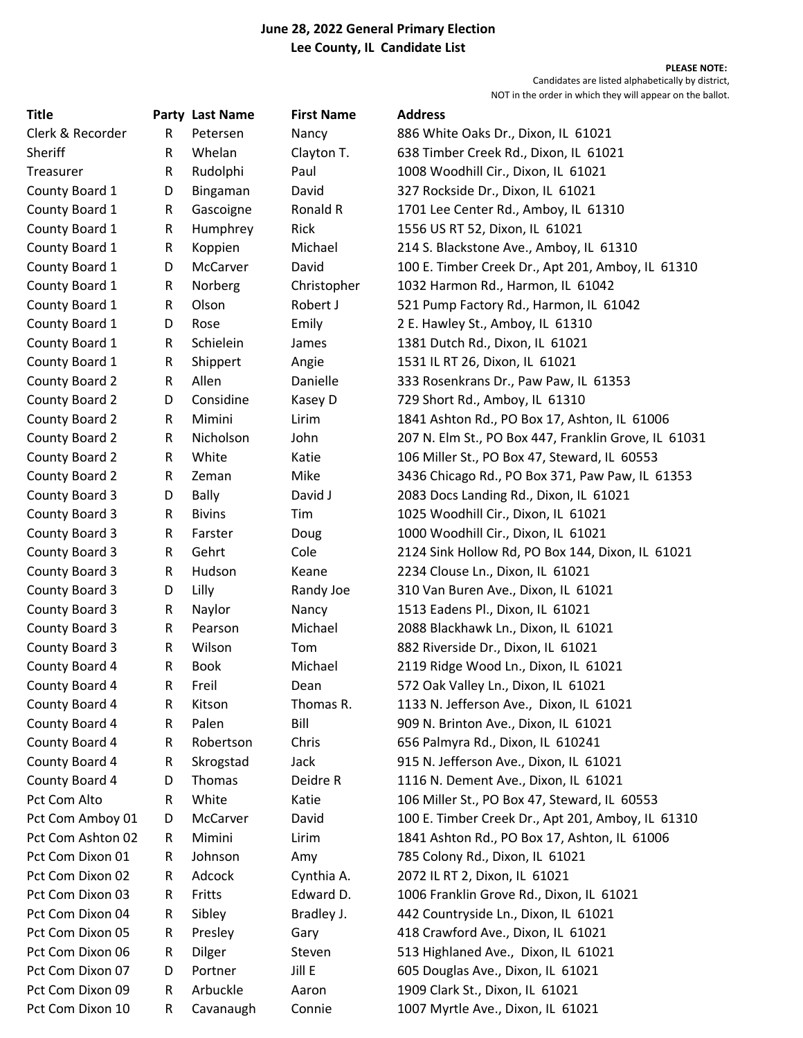## June 28, 2022 General Primary Election Lee County, IL Candidate List

PLEASE NOTE: Candidates are listed alphabetically by district, NOT in the order in which they will appear on the ballot.

| <b>Title</b>      |   | Party Last Name | <b>First Name</b> | <b>Address</b>                                       |
|-------------------|---|-----------------|-------------------|------------------------------------------------------|
| Clerk & Recorder  | R | Petersen        | Nancy             | 886 White Oaks Dr., Dixon, IL 61021                  |
| Sheriff           | R | Whelan          | Clayton T.        | 638 Timber Creek Rd., Dixon, IL 61021                |
| Treasurer         | R | Rudolphi        | Paul              | 1008 Woodhill Cir., Dixon, IL 61021                  |
| County Board 1    | D | Bingaman        | David             | 327 Rockside Dr., Dixon, IL 61021                    |
| County Board 1    | R | Gascoigne       | Ronald R          | 1701 Lee Center Rd., Amboy, IL 61310                 |
| County Board 1    | R | Humphrey        | Rick              | 1556 US RT 52, Dixon, IL 61021                       |
| County Board 1    | R | Koppien         | Michael           | 214 S. Blackstone Ave., Amboy, IL 61310              |
| County Board 1    | D | <b>McCarver</b> | David             | 100 E. Timber Creek Dr., Apt 201, Amboy, IL 61310    |
| County Board 1    | R | Norberg         | Christopher       | 1032 Harmon Rd., Harmon, IL 61042                    |
| County Board 1    | R | Olson           | Robert J          | 521 Pump Factory Rd., Harmon, IL 61042               |
| County Board 1    | D | Rose            | Emily             | 2 E. Hawley St., Amboy, IL 61310                     |
| County Board 1    | R | Schielein       | James             | 1381 Dutch Rd., Dixon, IL 61021                      |
| County Board 1    | R | Shippert        | Angie             | 1531 IL RT 26, Dixon, IL 61021                       |
| County Board 2    | R | Allen           | Danielle          | 333 Rosenkrans Dr., Paw Paw, IL 61353                |
| County Board 2    | D | Considine       | Kasey D           | 729 Short Rd., Amboy, IL 61310                       |
| County Board 2    | R | Mimini          | Lirim             | 1841 Ashton Rd., PO Box 17, Ashton, IL 61006         |
| County Board 2    | R | Nicholson       | John              | 207 N. Elm St., PO Box 447, Franklin Grove, IL 61031 |
| County Board 2    | R | White           | Katie             | 106 Miller St., PO Box 47, Steward, IL 60553         |
| County Board 2    | R | Zeman           | Mike              | 3436 Chicago Rd., PO Box 371, Paw Paw, IL 61353      |
| County Board 3    | D | <b>Bally</b>    | David J           | 2083 Docs Landing Rd., Dixon, IL 61021               |
| County Board 3    | R | <b>Bivins</b>   | Tim               | 1025 Woodhill Cir., Dixon, IL 61021                  |
| County Board 3    | R | Farster         | Doug              | 1000 Woodhill Cir., Dixon, IL 61021                  |
| County Board 3    | R | Gehrt           | Cole              | 2124 Sink Hollow Rd, PO Box 144, Dixon, IL 61021     |
| County Board 3    | R | Hudson          | Keane             | 2234 Clouse Ln., Dixon, IL 61021                     |
| County Board 3    | D | Lilly           | Randy Joe         | 310 Van Buren Ave., Dixon, IL 61021                  |
| County Board 3    | R | Naylor          | Nancy             | 1513 Eadens Pl., Dixon, IL 61021                     |
| County Board 3    | R | Pearson         | Michael           | 2088 Blackhawk Ln., Dixon, IL 61021                  |
| County Board 3    | R | Wilson          | Tom               | 882 Riverside Dr., Dixon, IL 61021                   |
| County Board 4    | R | <b>Book</b>     | Michael           | 2119 Ridge Wood Ln., Dixon, IL 61021                 |
| County Board 4    | R | Freil           | Dean              | 572 Oak Valley Ln., Dixon, IL 61021                  |
| County Board 4    | R | Kitson          | Thomas R.         | 1133 N. Jefferson Ave., Dixon, IL 61021              |
| County Board 4    | R | Palen           | Bill              | 909 N. Brinton Ave., Dixon, IL 61021                 |
| County Board 4    | R | Robertson       | Chris             | 656 Palmyra Rd., Dixon, IL 610241                    |
| County Board 4    | R | Skrogstad       | Jack              | 915 N. Jefferson Ave., Dixon, IL 61021               |
| County Board 4    | D | Thomas          | Deidre R          | 1116 N. Dement Ave., Dixon, IL 61021                 |
| Pct Com Alto      | R | White           | Katie             | 106 Miller St., PO Box 47, Steward, IL 60553         |
| Pct Com Amboy 01  | D | McCarver        | David             | 100 E. Timber Creek Dr., Apt 201, Amboy, IL 61310    |
| Pct Com Ashton 02 | R | Mimini          | Lirim             | 1841 Ashton Rd., PO Box 17, Ashton, IL 61006         |
| Pct Com Dixon 01  | R | Johnson         | Amy               | 785 Colony Rd., Dixon, IL 61021                      |
| Pct Com Dixon 02  | R | Adcock          | Cynthia A.        | 2072 IL RT 2, Dixon, IL 61021                        |
| Pct Com Dixon 03  | R | Fritts          | Edward D.         | 1006 Franklin Grove Rd., Dixon, IL 61021             |
| Pct Com Dixon 04  | R | Sibley          | Bradley J.        | 442 Countryside Ln., Dixon, IL 61021                 |
| Pct Com Dixon 05  | R | Presley         | Gary              | 418 Crawford Ave., Dixon, IL 61021                   |
| Pct Com Dixon 06  | R | Dilger          | Steven            | 513 Highlaned Ave., Dixon, IL 61021                  |
| Pct Com Dixon 07  | D | Portner         | Jill E            | 605 Douglas Ave., Dixon, IL 61021                    |
| Pct Com Dixon 09  | R | Arbuckle        | Aaron             | 1909 Clark St., Dixon, IL 61021                      |
| Pct Com Dixon 10  | R | Cavanaugh       | Connie            | 1007 Myrtle Ave., Dixon, IL 61021                    |